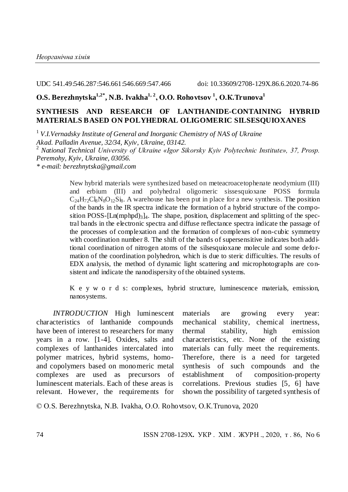UDC 541.49:546.287:546.661:546.669:547.466 doi: 10.33609/2708-129X.86.6.2020.74-86

# **О.S. Berezhnytska1,2\* , N.B. Ivakha1, 2, О.О. Rohovtsov <sup>1</sup> , О.К.Trunova<sup>1</sup>**

# **SYNTHESIS AND RESEARCH OF LANTHANIDE-CONTAINING HYBRID MATERIALS BASED ON POLYHEDRAL OLIGOMERIC SILSESQUIOXANES**

<sup>1</sup>*V.I.Vernadsky Institute of General and Inorganic Chemistry of NAS of Ukraine*

*Akad. Palladin Avenue, 32/34, Kyiv, Ukraine, 03142.*

<sup>2</sup>*National Technical University of Ukraine «Igor Sikorsky Kyiv Polytechnic Institute», 37, Prosp. Peremohy, Kyiv, Ukraine, 03056.*

*\* e-mail: berezhnytska@gmail.com*

New hybrid materials were synthesized based on meteacroacetophenate neodymium (III) and erbium (III) and polyhedral oligomeric sissesquioxane POSS formula  $C_{24}H_{72}Cl_8N_8O_{12}Si_8$ . A warehouse has been put in place for a new synthesis. The position of the bands in the IR spectra indicate the formation of a hybrid structure of the composition POSS- $[Ln(mphod)<sub>3</sub>]$ <sub>4</sub>. The shape, position, displacement and splitting of the spectral bands in the electronic spectra and diffuse reflectance spectra indicate the passage of the processes of complexation and the formation of complexes of non-cubic symmetry with coordination number 8. The shift of the bands of supersensitive indicates both additional coordination of nitrogen atoms of the silsesquioxane molecule and some defo rmation of the coordination polyhedron, which is due to steric difficulties. The results of EDX analysis, the method of dynamic light scattering and microphotographs are consistent and indicate the nanodispersity of the obtained systems.

K e y w o r d s: complexes, hybrid structure, luminescence materials, emission, nanosystems.

*INTRODUCTION* High luminescent characteristics of lanthanide compounds have been of interest to researchers for many years in a row. [1-4]. Oxides, salts and complexes of lanthanides intercalated into polymer matrices, hybrid systems, homoand copolymers based on monomeric metal complexes are used as precursors of luminescent materials. Each of these areas is relevant. However, the requirements for

materials are growing every year: mechanical stability, chemical inertness, thermal stability, high emission characteristics, etc. None of the existing materials can fully meet the requirements. Therefore, there is a need for targeted synthesis of such compounds and the establishment of composition-property correlations. Previous studies [5, 6] have shown the possibility of targeted synthesis of

© О.S. Berezhnytska, N.B. Ivakha, О.О. Rohovtsov, О.К.Trunova, 2020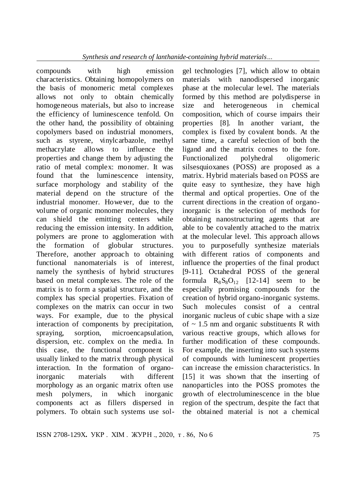compounds with high emission characteristics. Obtaining homopolymers on the basis of monomeric metal complexes allows not only to obtain chemically homogeneous materials, but also to increase the efficiency of luminescence tenfold. On the other hand, the possibility of obtaining copolymers based on industrial monomers, such as styrene, vinylcarbazole, methyl methacrylate allows to influence the properties and change them by adjusting the ratio of metal complex: monomer. It was found that the luminescence intensity, surface morphology and stability of the material depend on the structure of the industrial monomer. However, due to the volume of organic monomer molecules, they can shield the emitting centers while reducing the emission intensity. In addition, polymers are prone to agglomeration with the formation of globular structures. Therefore, another approach to obtaining functional nanomaterials is of interest, namely the synthesis of hybrid structures based on metal complexes. The role of the matrix is to form a spatial structure, and the complex has special properties. Fixation of complexes on the matrix can occur in two ways. For example, due to the physical interaction of components by precipitation, spraying, sorption, microencapsulation, dispersion, etc. complex on the media. In this case, the functional component is usually linked to the matrix through physical interaction. In the formation of organoinorganic materials with different morphology as an organic matrix often use mesh polymers, in which inorganic components act as fillers dispersed in polymers. To obtain such systems use sol-

gel technologies [7], which allow to obtain materials with nanodispersed inorganic phase at the molecular level. The materials formed by this method are polydisperse in size and heterogeneous in chemical composition, which of course impairs their properties [8]. In another variant, the complex is fixed by covalent bonds. At the same time, a careful selection of both the ligand and the matrix comes to the fore. Functionalized polyhedral oligomeric silsesquioxanes (POSS) are proposed as a matrix. Hybrid materials based on POSS are quite easy to synthesize, they have high thermal and optical properties. One of the current directions in the creation of organoinorganic is the selection of methods for obtaining nanostructuring agents that are able to be covalently attached to the matrix at the molecular level. This approach allows you to purposefully synthesize materials with different ratios of components and influence the properties of the final product [9-11]. Octahedral POSS of the general formula  $R_8S_8O_{12}$  [12-14] seem to be especially promising compounds for the creation of hybrid organo-inorganic systems. Such molecules consist of a central inorganic nucleus of cubic shape with a size of  $\sim$  1.5 nm and organic substituents R with various reactive groups, which allows for further modification of these compounds. For example, the inserting into such systems of compounds with luminescent properties can increase the emission characteristics. In [15] it was shown that the inserting of nanoparticles into the POSS promotes the growth of electroluminescence in the blue region of the spectrum, despite the fact that the obtained material is not a chemical

ISSN 2708-129X**.** УКР . ХІМ . ЖУРН ., 2020, т . 86, No 6 75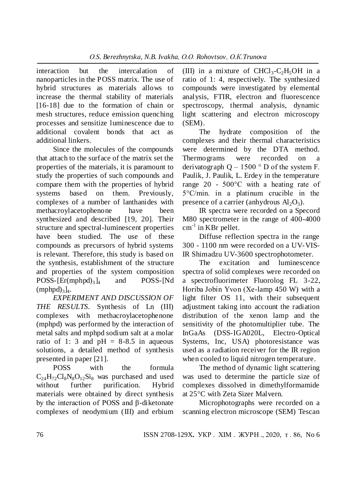interaction but the intercalation of nanoparticles in the POSS matrix. The use of hybrid structures as materials allows to increase the thermal stability of materials [16-18] due to the formation of chain or mesh structures, reduce emission quenching processes and sensitize luminescence due to additional covalent bonds that act as additional linkers.

Since the molecules of the compounds that attach to the surface of the matrix set the properties of the materials, it is paramount to study the properties of such compounds and compare them with the properties of hybrid systems based on them. Previously, complexes of a number of lanthanides with methacroylacetophenone have been synthesized and described [19, 20]. Their structure and spectral-luminescent properties have been studied. The use of these compounds as precursors of hybrid systems is relevant. Therefore, this study is based on the synthesis, establishment of the structure and properties of the system composition  $\text{POSS-}\left[\text{Er}(\text{mphpd})_3\right]_4$ and POSS-[Nd  $(mphpd)_{3}]_{4}.$ 

*EXPERIMENT AND DISCUSSION OF THE RESULTS.* Synthesis of Ln (III) complexes with methacroylacetophenone (mphpd) was performed by the interaction of metal salts and mphpd sodium salt at a molar ratio of 1: 3 and  $pH = 8-8.5$  in aqueous solutions, a detailed method of synthesis presented in paper [21].

POSS with the formula  $C_{24}H_{72}Cl_8N_8O_{12}Si_8$  was purchased and used without further purification. Hybrid materials were obtained by direct synthesis by the interaction of POSS and β-diketonate complexes of neodymium (III) and erbium

(III) in a mixture of  $CHCl<sub>3</sub>-C<sub>2</sub>H<sub>5</sub>OH$  in a ratio of 1: 4, respectively. The synthesized compounds were investigated by elemental analysis, FTIR, electron and fluorescence spectroscopy, thermal analysis, dynamic light scattering and electron microscopy (SEM).

The hydrate composition of the complexes and their thermal characteristics were determined by the DTA method. Thermograms were recorded on a derivatograph  $Q - 1500$  ° D of the system F. Paulik, J. Paulik, L. Erdey in the temperature range 20 - 500°С with a heating rate of 5°С/min. in a platinum crucible in the presence of a carrier (anhydrous  $Al_2O_3$ ).

IR spectra were recorded on a Specord M80 spectrometer in the range of 400-4000 cm<sup>-1</sup> in KBr pellet.

Diffuse reflection spectra in the range 300 - 1100 nm were recorded on a UV-VIS-IR Shimadzu UV-3600 spectrophotometer.

The excitation and luminescence spectra of solid complexes were recorded on a spectrofluorimeter Fluorolog FL 3-22, Horiba Jobin Yvon (Хе-lamp 450 W) with a light filter OS 11, with their subsequent adjustment taking into account the radiation distribution of the xenon lamp and the sensitivity of the photomultiplier tube. The InGaAs (DSS-IGA020L, Electro-Optical Systems, Inc, USA) photoresistance was used as a radiation receiver for the IR region when cooled to liquid nitrogen temperature.

The method of dynamic light scattering was used to determine the particle size of complexes dissolved in dimethylformamide at 25°C with Zeta Sizer Malvern.

Microphotographs were recorded on a scanning electron microscope (SEM) Tescan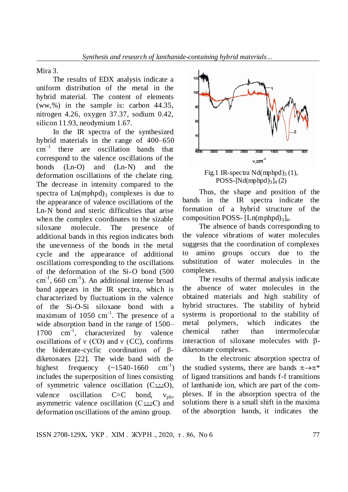### Mira 3.

The results of EDX analysis indicate a uniform distribution of the metal in the hybrid material. The content of elements (ww,%) in the sample is: carbon 44.35, nitrogen 4.26, oxygen 37.37, sodium 0.42, silicon 11.93, neodymium 1.67.

In the IR spectra of the synthesized hybrid materials in the range of 400–650  $cm^{-1}$  there are oscillation bands that correspond to the valence oscillations of the bonds (Ln-O) and (Ln-N) and the deformation oscillations of the chelate ring. The decrease in intensity compared to the spectra of  $Ln(mphod)$ <sub>3</sub> complexes is due to the appearance of valence oscillations of the Ln-N bond and steric difficulties that arise when the complex coordinates to the sizable siloxane molecule. The presence of additional bands in this region indicates both the unevenness of the bonds in the metal cycle and the appearance of additional oscillations corresponding to the oscillations of the deformation of the Si-O bond (500  $\text{cm}^{-1}$ , 660 cm<sup>-1</sup>). An additional intense broad band appears in the IR spectra, which is characterized by fluctuations in the valence of the Si-O-Si siloxane bond with a maximum of  $1050 \text{ cm}^{-1}$ . The presence of a wide absorption band in the range of 1500– 1700  $cm^{-1}$ , characterized by valence oscillations of  $v$  (CO) and  $v$  (CC), confirms the bidentate-cyclic coordination of βdiketonates [22]. The wide band with the highest frequency  $(-1540-1660$  $\text{cm}^{-1}$ ) includes the superposition of lines consisting of symmetric valence oscillation  $(C = 0)$ , valence oscillation  $C=C$  bond,  $v_{ph}$ , asymmetric valence oscillation  $(C = C)$  and deformation oscillations of the amino group.



Fig.1 IR-spectra  $Nd(mphpd)<sub>3</sub>(1)$ ,  $POSS-[\text{Nd}(mphpd)<sub>3</sub>]_4(2)$ 

Thus, the shape and position of the bands in the IR spectra indicate the formation of a hybrid structure of the composition POSS- [Ln(mphpd)<sub>3</sub>]<sub>4</sub>.

The absence of bands corresponding to the valence vibrations of water molecules suggests that the coordination of complexes to amino groups occurs due to the substitution of water molecules in the complexes.

The results of thermal analysis indicate the absence of water molecules in the obtained materials and high stability of hybrid structures. The stability of hybrid systems is proportional to the stability of metal polymers, which indicates the chemical rather than intermolecular interaction of siloxane molecules with  $\beta$ diketonate complexes.

In the electronic absorption spectra of the studied systems, there are bands  $\pi \rightarrow \pi^*$ of ligand transitions and bands f-f transitions of lanthanide ion, which are part of the complexes. If in the absorption spectra of the solutions there is a small shift in the maxima of the absorption bands, it indicates the

ISSN 2708-129X**.** УКР . ХІМ . ЖУРН ., 2020, т . 86, No 6 77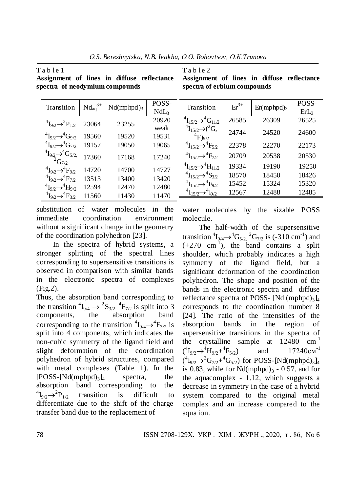Table 1

Table 2

|                                                                            | $Nd_{aq}^{3+}$ |                        | POSS-            | Transition                                            | $Er^{3+}$ |                        | POSS-            |
|----------------------------------------------------------------------------|----------------|------------------------|------------------|-------------------------------------------------------|-----------|------------------------|------------------|
| Transition                                                                 |                | Nd(mphpd) <sub>3</sub> | NdL <sub>3</sub> |                                                       |           | Er(mphpd) <sub>3</sub> | ErL <sub>3</sub> |
|                                                                            |                |                        |                  |                                                       |           |                        |                  |
| ${}^{4}I_{9/2} \rightarrow {}^{2}P_{1/2}$                                  | 23064          | 23255                  | 20920            | ${}^4I_{15/2} \rightarrow {}^4G_{11/2}$               | 26585     | 26309                  | 26525            |
|                                                                            |                |                        | weak             | ${}^{4}I_{15/2} \rightarrow$ $({}^{2}G,$              |           |                        |                  |
| $\rm{^{4}I_{9/2}}\rightarrow\rm{^{4}G_{9/2}}$                              | 19560          | 19520                  | 19531            | $^{4}F)_{9/2}$                                        | 24744     | 24520                  | 24600            |
| $^{4}I_{9/2} \rightarrow ^{4}G_{7/2}$                                      | 19157          | 19050                  | 19065            | ${}^{4}I_{15/2} \rightarrow {}^{4}F_{5/2}$            | 22378     | 22270                  | 22173            |
|                                                                            |                |                        |                  |                                                       |           |                        |                  |
| <sup>4</sup> $I_{9/2} \rightarrow ^{4}G_{5/2}$ ,<br><sup>2</sup> $G_{7/2}$ | 17360          | 17168                  | 17240            | ${}^{4}I_{15/2} \rightarrow {}^{4}F_{7/2}$            | 20709     | 20538                  | 20530            |
|                                                                            |                |                        |                  |                                                       |           |                        |                  |
| $\rm{^{4}I_{9}}\rightarrow \rm{^{4}F_{9}}$                                 | 14720          | 14700                  | 14727            | ${}^4\text{I}_{15/2} \rightarrow {}^4\text{H}_{11/2}$ | 19334     | 19190                  | 19250            |
|                                                                            |                |                        |                  | ${}^4I_{15/2} \rightarrow {}^4S_{3/2}$                | 18570     | 18450                  | 18426            |
| $\rm{^{4}I_{90}} \rightarrow \rm{^{4}F_{70}}$                              | 13513          | 13400                  | 13420            |                                                       |           |                        |                  |
| ${}^{4}I_{9/2} \rightarrow {}^{4}H_{9/2}$                                  | 12594          | 12470                  | 12480            | ${}^4I_{15/2} \rightarrow {}^4F_{9/2}$                | 15452     | 15324                  | 15320            |
|                                                                            |                |                        |                  | ${}^{4}I_{15/2} \rightarrow {}^{4}I_{9/2}$            | 12567     | 12488                  | 12485            |
| ${}^{4}I_{9/2} \rightarrow {}^{4}F_{3/2}$                                  | 11560          | 11430                  | 11470            |                                                       |           |                        |                  |

**Assignment of lines in diffuse reflectance spectra of neodymium compounds**

**Assignment of lines in diffuse reflectance spectra of erbium compounds**

substitution of water molecules in the immediate coordination environment without a significant change in the geometry of the coordination polyhedron [23].

In the spectra of hybrid systems, a stronger splitting of the spectral lines corresponding to supersensitive transitions is observed in comparison with similar bands in the electronic spectra of complexes (Fig.2).

Thus, the absorption band corresponding to the transition  ${}^4I_{9/4} \rightarrow {}^2S_{3/2}$ ,  ${}^4F_{7/2}$  is split into 3 components, the absorption band corresponding to the transition  ${}^{4}I_{9/4} \rightarrow {}^{4}F_{3/2}$  is split into 4 components, which indicates the non-cubic symmetry of the ligand field and slight deformation of the coordination polyhedron of hybrid structures, compared with metal complexes (Table 1). In the  $[POSS-<sub>1</sub>Nd(mphpd)<sub>3</sub>]$ <sub>4</sub> spectra, the absorption band corresponding to the  $\mathrm{^{4}I_{9/2}}\rightarrow\mathrm{^{2}}$ transition is difficult to differentiate due to the shift of the charge transfer band due to the replacement of

water molecules by the sizable POSS molecule.

The half-width of the supersensitive transition  ${}^{4}I_{9/4} \rightarrow {}^{4}G_{5/2}$ ,  ${}^{2}G_{7/2}$  is (-310 cm<sup>-1</sup>) and  $(+270 \text{ cm}^{-1})$ , the band contains a split shoulder, which probably indicates a high symmetry of the ligand field, but a significant deformation of the coordination polyhedron. The shape and position of the bands in the electronic spectra and diffuse reflectance spectra of POSS- [Nd  $(mphpd)_{3}]_{4}$ corresponds to the coordination number 8 [24]. The ratio of the intensities of the absorption bands in the region of supersensitive transitions in the spectra of the crystalline sample at 12480 cm-1  $({}^{4}I_{9/2} \rightarrow {}^{4}H_{9/2} + {}^{4}$ and  $17240 \text{cm}^{-1}$  $({}^{4}I_{9/2} \rightarrow {}^{2}G_{7/2} + {}^{4}G_{5/2})$  for POSS-[Nd(mphpd)<sub>3</sub>]<sub>4</sub> is 0.83, while for  $Nd(mphpd)_3 - 0.57$ , and for the aquacomplex - 1.12, which suggests a decrease in symmetry in the case of a hybrid system compared to the original metal complex and an increase compared to the aqua ion.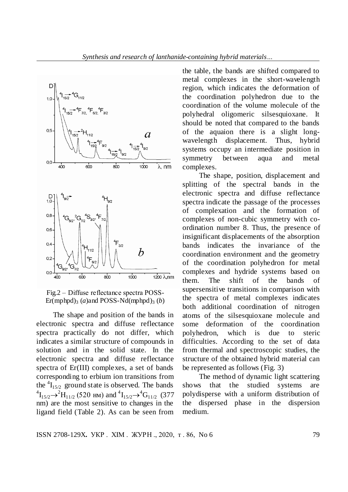



The shape and position of the bands in electronic spectra and diffuse reflectance spectra practically do not differ, which indicates a similar structure of compounds in solution and in the solid state. In the electronic spectra and diffuse reflectance spectra of Er(III) complexes, a set of bands corresponding to erbium ion transitions from the  ${}^{4}I_{15/2}$  ground state is observed. The bands  ${}^{4}I_{15/2} \rightarrow {}^{2}H_{11/2}$  (520 HM) and  ${}^{4}I_{15/2} \rightarrow {}^{4}G_{11/2}$  (377 nm) are the most sensitive to changes in the ligand field (Table 2). As can be seen from

the table, the bands are shifted compared to metal complexes in the short-wavelength region, which indicates the deformation of the coordination polyhedron due to the coordination of the volume molecule of the polyhedral oligomeric silsesquioxane. It should be noted that compared to the bands of the aquaion there is a slight longwavelength displacement. Thus, hybrid systems occupy an intermediate position in symmetry between aqua and metal complexes.

The shape, position, displacement and splitting of the spectral bands in the electronic spectra and diffuse reflectance spectra indicate the passage of the processes of complexation and the formation of complexes of non-cubic symmetry with coordination number 8. Thus, the presence of insignificant displacements of the absorption bands indicates the invariance of the coordination environment and the geometry of the coordination polyhedron for metal complexes and hydride systems based on them. The shift of the bands of supersensitive transitions in comparison with the spectra of metal complexes indicates both additional coordination of nitrogen atoms of the silsesquioxane molecule and some deformation of the coordination polyhedron, which is due to steric difficulties. According to the set of data from thermal and spectroscopic studies, the structure of the obtained hybrid material can be represented as follows (Fig. 3)

The method of dynamic light scattering shows that the studied systems are polydisperse with a uniform distribution of the dispersed phase in the dispersion medium.

ISSN 2708-129X**.** УКР . ХІМ . ЖУРН ., 2020, т . 86, No 6 79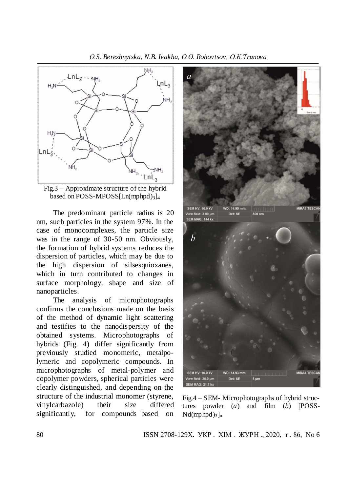*О.S. Berezhnytska, N.B. Ivakha, О.О. Rohovtsov, О.К.Trunova*



Fig.3 – Approximate structure of the hybrid based on POSS-MPOSS[Ln(mphpd) $_3$ ]<sub>4</sub>

The predominant particle radius is 20 nm, such particles in the system 97%. In the case of monocomplexes, the particle size was in the range of 30-50 nm. Obviously, the formation of hybrid systems reduces the dispersion of particles, which may be due to the high dispersion of silsesquioxanes, which in turn contributed to changes in surface morphology, shape and size of nanoparticles.

The analysis of microphotographs confirms the conclusions made on the basis of the method of dynamic light scattering and testifies to the nanodispersity of the obtained systems. Microphotographs of hybrids (Fig. 4) differ significantly from previously studied monomeric, metalpolymeric and copolymeric compounds. In microphotographs of metal-polymer and copolymer powders, spherical particles were clearly distinguished, and depending on the structure of the industrial monomer (styrene, vinylcarbazole) their size differed significantly, for compounds based on



Fig.4 – SEM- Microphotographs of hybrid structures powder (*a*) and film (*b*) [РOSS- $Nd(mphpd)<sub>3</sub>$ <sub>n</sub>

80 ISSN 2708-129X**.** УКР . ХІМ . ЖУРН ., 2020, т . 86, No 6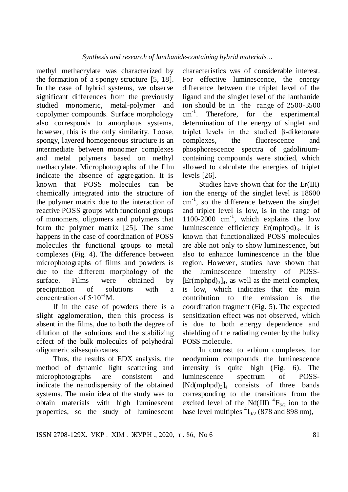methyl methacrylate was characterized by the formation of a spongy structure [5, 18]. In the case of hybrid systems, we observe significant differences from the previously studied monomeric, metal-polymer and copolymer compounds. Surface morphology also corresponds to amorphous systems, however, this is the only similarity. Loose, spongy, layered homogeneous structure is an intermediate between monomer complexes and metal polymers based on methyl methacrylate. Microphotographs of the film indicate the absence of aggregation. It is known that POSS molecules can be chemically integrated into the structure of the polymer matrix due to the interaction of reactive POSS groups with functional groups of monomers, oligomers and polymers that form the polymer matrix [25]. The same happens in the case of coordination of POSS molecules thr functional groups to metal complexes (Fig. 4). The difference between microphotographs of films and powders is due to the different morphology of the surface. Films were obtained by precipitation of solutions with a concentration of  $5 \cdot 10^{-4}$ M.

If in the case of powders there is a slight agglomeration, then this process is absent in the films, due to both the degree of dilution of the solutions and the stabilizing effect of the bulk molecules of polyhedral oligomeric silsesquioxanes.

Thus, the results of EDX analysis, the method of dynamic light scattering and microphotographs are consistent and indicate the nanodispersity of the obtained systems. The main idea of the study was to obtain materials with high luminescent properties, so the study of luminescent

characteristics was of considerable interest. For effective luminescence, the energy difference between the triplet level of the ligand and the singlet level of the lanthanide ion should be in the range of 2500-3500 cm<sup>-1</sup>. Therefore, for the experimental determination of the energy of singlet and triplet levels in the studied β-diketonate complexes, the fluorescence and phosphorescence spectra of gadoliniumcontaining compounds were studied, which allowed to calculate the energies of triplet levels [26].

Studies have shown that for the  $Er(III)$ ion the energy of the singlet level is 18600  $cm^{-1}$ , so the difference between the singlet and triplet level is low, is in the range of 1100-2000 cm-1 , which explains the low luminescence efficiency  $Er(mphpd)_3$ . It is known that functionalized POSS molecules are able not only to show luminescence, but also to enhance luminescence in the blue region. However, studies have shown that the luminescence intensity of POSS-  $[Er(mphpd)<sub>3</sub>]$ <sub>4</sub>, as well as the metal complex, is low, which indicates that the main contribution to the emission is the coordination fragment (Fig. 5). The expected sensitization effect was not observed, which is due to both energy dependence and shielding of the radiating center by the bulky POSS molecule.

In contrast to erbium complexes, for neodymium compounds the luminescence intensity is quite high (Fig. 6). The luminescence spectrum of POSS-  $[Nd(mphpd)<sub>3</sub>]$ <sub>4</sub> consists of three bands corresponding to the transitions from the excited level of the Nd(III)  ${}^{4}F_{3/2}$  ion to the base level multiples  ${}^{4}I_{9/2}$  (878 and 898 nm),

ISSN 2708-129X. УКР. XIM. ЖУРН., 2020, т. 86, No 6 81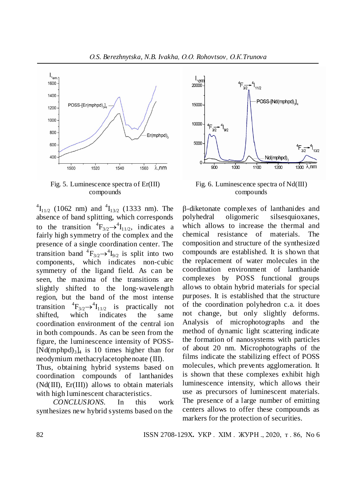

Fig. 5. Luminescence spectra of Er(III) compounds

 ${}^{4}I_{11/2}$  (1062 nm) and  ${}^{4}I_{13/2}$  (1333 nm). The absence of band splitting, which corresponds to the transition  ${}^{4}F_{3/2} \rightarrow {}^{4}I_{11/2}$ , indicates a fairly high symmetry of the complex and the presence of a single coordination center. The transition band  ${}^{4}F_{3/2} {\rightarrow} {}^{4}I_{9/2}$  is split into two components, which indicates non-cubic symmetry of the ligand field. As can be seen, the maxima of the transitions are slightly shifted to the long-wavelength region, but the band of the most intense transition  $F_{3/2} \rightarrow ^4 I_{11/2}$  is practically not shifted, which indicates the same coordination environment of the central ion in both compounds. As can be seen from the figure, the luminescence intensity of POSS-  $[Nd(mphpd)_{3}]_{4}$  is 10 times higher than for neodymium methacrylacetophenoate (III). Thus, obtaining hybrid systems based on coordination compounds of lanthanides (Nd(III), Er(III)) allows to obtain materials with high luminescent characteristics.

*CONCLUSIONS.* In this work synthesizes new hybrid systems based on the



compounds

-diketonate complexes of lanthanides and polyhedral oligomeric silsesquioxanes, which allows to increase the thermal and chemical resistance of materials. The composition and structure of the synthesized compounds are established. It is shown that the replacement of water molecules in the coordination environment of lanthanide complexes by POSS functional groups allows to obtain hybrid materials for special purposes. It is established that the structure of the coordination polyhedron c.a. it does not change, but only slightly deforms. Analysis of microphotographs and the method of dynamic light scattering indicate the formation of nanosystems with particles of about 20 nm. Microphotographs of the films indicate the stabilizing effect of POSS molecules, which prevents agglomeration. It is shown that these complexes exhibit high luminescence intensity, which allows their use as precursors of luminescent materials. The presence of a large number of emitting centers allows to offer these compounds as markers for the protection of securities.

82 ISSN 2708-129X**.** УКР . ХІМ . ЖУРН ., 2020, т . 86, No 6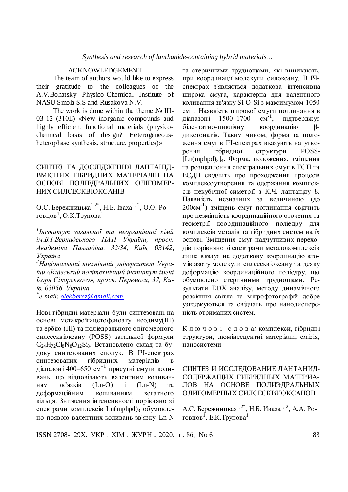#### ACKNOWLEDGEMENT

The team of authors would like to express their gratitude to the colleagues of the A.V.Bohatsky Physico-Chemical Institute of NASU Smola S.S and Rusakova N.V.

The work is done within the theme  $N_2$  III-03-12 (310E) «New inorganic compounds and highly efficient functional materials (physicochemical basis of design? Heterogeneousheterophase synthesis, structure, properties)»

## СИНТЕЗ ТА ДОСЛІДЖЕННЯ ЛАНТАНІД-ВМІСНИХ ГІБРИДНИХ МАТЕРІАЛІВ НА ОСНОВІ ПОЛІЕДРАЛЬНИХ ОЛІГОМЕР-НИХ СИЛСЕСКВІОКСАНІВ

О.С. Бережницька<sup>1,2\*</sup>, Н.Б. Іваха<sup>1, 2</sup>, О.О. Роговцов $^1, \mathrm{O}$ .К.Трунова $^1$ 

*1 Інститут загальної та неорганічної хімії ім.В.І.Вернадського НАН України, просп. Академіка Палладіна, 32/34, Київ, 03142, Україна*

*<sup>2</sup>Національний технічний університет України «Київський політехнічний інститут імені Ігоря Сікорського», просп. Перемоги, 37, Київ, 03056, Україна*

*\* е-mail: [olekberez@gmail.com](mailto:olekberez@gmail.com)*

Нові гібридні матеріали були синтезовані на основі метакроїлацетофеноату неодиму(ІІІ) та ербію (III) та поліедрального олігомерного силсесквіоксану (POSS) загальної формули  $C_{24}H_{72}C_{8}N_{8}O_{12}Si_8$ . Встановлено склад та будову синтезованих сполук. В ІЧ-спектрах синтезованих гібридних матеріалів діапазоні 400–650 см<sup>-1</sup> присутні смуги коливань, що відповідають валентним коливанням зв'язків (Ln-O) і (Ln-N) та деформаційним коливанням хелатного кільця. Зниження інтенсивності порівняно зі спектрами комплексів Ln(mphpd)<sub>3</sub> обумовлено появою валентних коливань зв'язку Ln-N

та стеричними труднощами, які виникають, при координації молекули силоксану. В ІЧспектрах з'являється додаткова інтенсивна широка смуга, характерна для валентного коливання зв'язку Si-O-Si з максимумом 1050 см<sup>-1</sup>. Наявність широкої смуги поглинання в діапазоні 1500–1700 см<sup>-1</sup>, , підтверджує бідентатно-циклічну координацію βдикетонатів. Таким чином, форма та положення смуг в ІЧ-спектрах вказують на утворення гібридної структури POSS-  $[Ln(mphpd)<sub>3</sub>]$ <sub>4</sub>. Форма, положення, зміщення та розщеплення спектральних смуг в ЕСП та ЕСДВ свідчить про проходження процесів комплексоутворення та одержання комплексів некубічної симетрії з К.Ч. лантаніду 8. Наявність незначних за величиною (до 200см-1 ) зміщень смуг поглинання свідчить про незмінність координаційного оточення та геометрії координаційного поліедру для комплексів металів та гібридних систем на їх основі. Зміщення смуг надчутливих переходів порівняно зі спектрами металокомплексів лише вказує на додаткову координацію атомів азоту молекули силсесквіоксану та деяку деформацію координаційного поліедру, що обумовлено стеричними труднощами. Результати ЕDХ аналізу, методу динамічного розсіяння світла та мікрофотографій добре узгоджуються та свідчать про нанодисперсність отриманих систем.

К л ю ч о в і с л о в а*:* комплекси, гібридні структури, люмінесцентні матеріали, емісія, наносистеми

СИНТЕЗ И ИССЛЕДОВАНИЕ ЛАНТАНИД-СОДЕРЖАЩИХ ГИБРИДНЫХ МАТЕРИА-ЛОВ НА ОСНОВЕ ПОЛИЭДРАЛЬНЫХ ОЛИГОМЕРНЫХ СИЛСЕСКВИОКСАНОВ

А.С. Бережницкая<sup>1,2\*</sup>, Н.Б. Иваха<sup>1, 2</sup>, А.А. Роговцов $^{1}$ , Е.К.Трунова $^{1}$ 

ISSN 2708-129X. УКР. XIM. ЖУРН., 2020, т. 86, No 6 83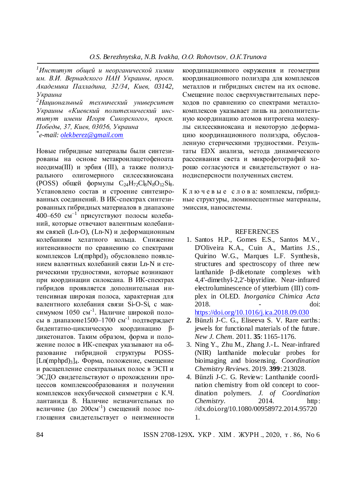*<sup>1</sup>Институт общей и неорганической химии им. В.И. Вернадского НАН Украины, просп. Академика Палладина, 32/34, Киев, 03142, Украина*

*<sup>2</sup>Национальный технический университет Украины «Киевский политехнический институт имени Игоря Сикорского», просп. Победы, 37, Киев, 03056, Украина \* е-mail: [olekberez@gmail.com](mailto:olekberez@gmail.com)*

Новые гибридные материалы были синтезированы на основе метакроилацетофеноата неодима(ІІІ) и эрбия (ІІІ), а также полиэдрального олигомерного силсесквиоксана (POSS) общей формулы  $C_{24}H_{72}C\text{kNs}O_{12}Si$ 8. Установлено состав и строение синтезированных соединений. В ИК-спектрах синтезированных гибридных материалов в диапазоне 400–650 см<sup>-1</sup> присутствуют полосы колебаний, которые отвечают валентным колебаниям связей (Ln-O), (Ln-N) и деформационным колебаниям хелатного кольца. Снижение интенсивности по сравнению со спектрами комплексов Ln(mphpd)<sub>3</sub> обусловлено появлением валентных колебаний связи Ln-N и стерическими трудностями, которые возникают при координации силоксана. В ИК-спектрах гибридов проявляется дополнительная интенсивная широкая полоса, характерная для валентного колебания связи Si-O-Si, с максимумом 1050 см<sup>-1</sup>. Наличие широкой полосы в диапазоне1500–1700 см-1 подтверждает бидентатно-циклическую координацию βдикетонатов. Таким образом, форма и положение полос в ИК-спекрах указывают на образование гибридной структуры POSS- [Ln(mphpd)3]4. Форма, положение, смещение и расщепление спектральных полос в ЭСП и ЭСДО свидетельствуют о прохождении процессов комплексообразования и получении комплексов некубической симметрии с К.Ч. лантанида 8. Наличие незначительных по величине (до 200см<sup>-1</sup>) смещений полос поглощения свидетельствует о неизменности

координационного окружения и геометрии координационного полиэдра для комплексов металлов и гибридных систем на их основе. Смещение полос сверхчувствительных переходов по сравнению со спектрами металлокомплексов указывает лишь на дополнительную координацию атомов нитрогена молекулы силсесквиоксана и некоторую деформацию координационного полиэдра, обусловленную стерическими трудностями. Результаты ЕDХ анализа, метода динамического рассеивания света и микрофотографий хорошо согласуются и свидетельствуют о нанодисперсности полученных систем.

К л ю ч е в ы е с л о в а*:* комплексы, гибридные структуры, люминесцентные материалы, эмиссия, наносистемы.

#### **REFERENCES**

1. Santos H.P., Gomes E.S., Santos M.V., D'Oliveira K.A., Cuin A., Martins J.S., Quirino W.G., Marques L.F. Synthesis, structures and spectroscopy of three new lanthanide β-diketonate complexes with 4,4'-dimethyl-2,2'-bipyridine. Near-infrared electroluminescence of ytterbium (III) complex in OLED. *Inorganica Chimica Acta*  2018. - doi:

<https://doi.org/10.1016/j.ica.2018.09.030>

- *2.* Bünzli J-C. G., Eliseeva S. V. Rare earths: jewels for functional materials of the future. *New J. Chem.* 2011. **35**: 1165-1176.
- 3. Ning Y., Zhu M., Zhang J.-L. Near-infrared (NIR) lanthanide molecular probes for bioimaging and biosensing. *Coordination Chemistry Reviews*. 2019. **399**: 213028.
- 4. Bünzli J-C. G. Review: Lanthanide coordination chemistry from old concept to coordination polymers. *J. of Coordination Chemistry*. 2014. http: //dx.doi.org/10.1080/00958972.2014.95720 1.

84 ISSN 2708-129X**.** УКР . ХІМ . ЖУРН ., 2020, т . 86, No 6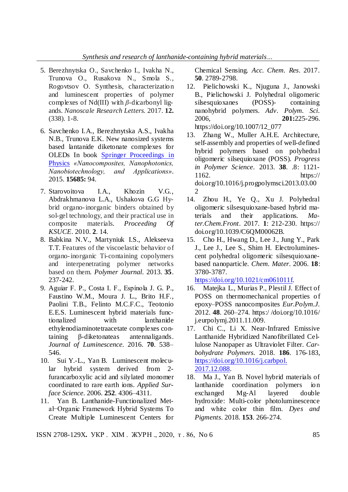- 5. Berezhnytska O., Savchenko I., Ivakha N., Trunova O., Rusakova N., Smola S., Rogovtsov O. Synthesis, characterization and luminescent properties of polymer complexes of Nd(III) with *β*-dicarbonyl ligands. *Nanoscale Research Letters.* 2017. **12.** (338). 1-8.
- 6. Savchenko I.A., Berezhnytska A.S., Ivakha N.B., Trunova E.K. New nanosized systems based lantanide diketonate complexes for OLEDs In book Springer [Proceedings](http://link.springer.com/bookseries/361) in [Physics](http://link.springer.com/bookseries/361) *«Nanocomposites, Nanophotonics, Nanobiotechnology, and Applications»*. 2015. **15685:** 94.
- 7. Starovoitova I.A., Khozin V.G., Abdrakhmanova L.A., Ushakova G.G Hybrid organo-inorganic binders obtained by sol-gel technology, and their practical use in composite materials. *Proceeding Of KSUCE*. 2010. **2**. 14.
- 8. Babkina N.V., Martyniuk I.S., Alekseeva T.T. Features of the viscoelastic behavior of organo-inorganic Ti-containing copolymers and interpenetrating polymer networks based on them. *Polymer Journal*. 2013. **35**. 237-242.
- 9. Aguiar F. P., Costa I. F., Espínola J. G. P., Faustino W.M., Moura J. L., Brito H.F., Paolini T.B., Felinto M.C.F.C., Teotonio E.E.S. Luminescent hybrid materials functionalized with lanthanide ethylenodiaminotetraacetate complexes containing β-diketonateas antennaligands. *Journal of Luminescence*. 2016. **70**. 538– 546.
- 10. Sui Y.-L., Yan B. Luminescent molecular hybrid system derived from 2 furancarboxylic acid and silylated monomer coordinated to rare earth ions. *Applied Surface Science*. 2006. **252**. 4306–4311.
- 11. Yan B. Lanthanide-Functionalized Metal−Organic Framework Hybrid Systems To Create Multiple Luminescent Centers for

Chemical Sensing. *Acc. Chem. Res*. 2017. **50**. 2789-2798.

- 12. Pielichowski K., Njuguna J., Janowski B., Pielichowski J. Polyhedral oligomeric silsesquioxanes (POSS)- containing nanohybrid polymers. *Adv. Polym. Sci*. 2006, **201:**225-296. https://doi.org/10.1007/12\_077
- 13. Zhang W., Muller A.H.E. Architecture, self-assembly and properties of well-defined hybrid polymers based on polyhedral oligomeric silsequioxane (POSS). *Progress in Polymer Science*. 2013. **38**. .8: 1121- 1162. https:// doi.org/10.1016/j.progpolymsci.2013.03.00 2
- 14. Zhou H., Ye Q., Xu J. Polyhedral oligomeric silsesquioxane-based hybrid materials and their applications. *Mater.Chem.Front*. 2017. **1**: 212-230. https:// doi.org/10.1039/C6QM00062B.
- 15. Cho H., Hwang D., Lee J., Jung Y., Park J., Lee J., Lee S., Shim H. Electroluminescent polyhedral oligomeric silsesquioxanebased nanoparticle. *Chem. Mater*. 2006. **18**: 3780-3787.

[https://doi.org/10.1021/cm061011f.](https://doi.org/10.1021/cm061011f)

- 16. Matejka L., Murias P., Plestil J. Effect of POSS on thermomechanical properties of epoxy–POSS nanocomposites *Eur.Polym.J*. 2012. **48**. 260–274. https:/ /doi.org/10.1016/ j.eurpolymj.2011.11.009.
- 17. Chi C., Li X. Near-Infrared Emissive Lanthanide Hybridized Nanofibrillated Cellulose Nanopaper as Ultraviolet Filter. *[Car](https://www.sciencedirect.com/science/journal/01448617)[bohydrate Polymers.](https://www.sciencedirect.com/science/journal/01448617)* 2018. **186**. 176-183, [https://doi.org/10.1016/j.carbpol.](https://doi.org/10.1016/j.carbpol.%202017.12.088)  [2017.12.088.](https://doi.org/10.1016/j.carbpol.%202017.12.088)
- 18. Ma J., Yan B. Novel hybrid materials of lanthanide coordination polymers ion exchanged Mg-Al layered double hydroxide: Multi-color photoluminescence and white color thin film. *Dyes and Pigments*. 2018. **153**. 266-274.

ISSN 2708-129X. УКР. XIM. ЖУРН., 2020, т. 86, No 6 85